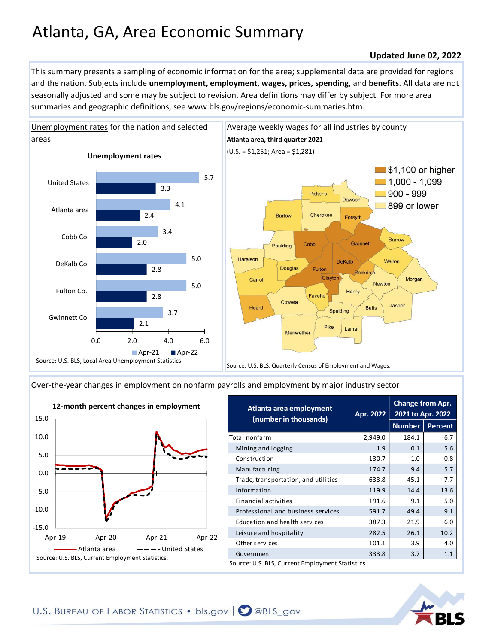## Atlanta, GA, Area Economic Summary

## **Updated June 02, 2022**

This summary presents a sampling of economic information for the area; supplemental data are provided for regions and the nation. Subjects include **unemployment, employment, wages, prices, spending,** and **benefits**. All data are not seasonally adjusted and some may be subject to revision. Area definitions may differ by subject. For more area summaries and geographic definitions, see www.bls.gov/regions/economic-summaries.htm.



[Over-the-year changes in employment on nonfarm payrolls](https://www.bls.gov/sae/) and employment by major industry sector



| Atlanta area employment<br>Apr. 2022<br>(number in thousands) | Change from Apr.<br>2021 to Apr. 2022 |                |
|---------------------------------------------------------------|---------------------------------------|----------------|
|                                                               | <b>Number</b>                         | <b>Percent</b> |
| 2,949.0                                                       | 184.1                                 | 6.7            |
| 1.9                                                           | 0.1                                   | 5.6            |
| 130.7                                                         | 1.0                                   | 0.8            |
| 174.7                                                         | 9.4                                   | 5.7            |
| 633.8                                                         | 45.1                                  | 7.7            |
| 119.9                                                         | 14.4                                  | 13.6           |
| 191.6                                                         | 9.1                                   | 5.0            |
| 591.7                                                         | 49.4                                  | 9.1            |
| 387.3                                                         | 21.9                                  | 6.0            |
| 282.5                                                         | 26.1                                  | 10.2           |
| 101.1                                                         | 3.9                                   | 4.0            |
| 333.8                                                         | 3.7                                   | 1.1            |
|                                                               |                                       |                |